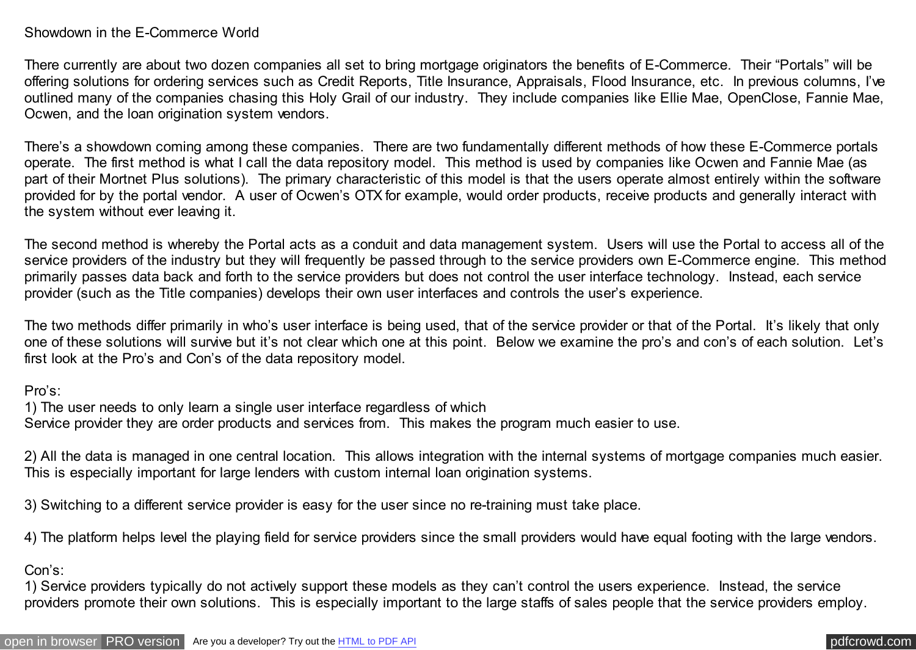## Showdown in the E-Commerce World

There currently are about two dozen companies all set to bring mortgage originators the benefits of E-Commerce. Their "Portals" will be offering solutions for ordering services such as Credit Reports, Title Insurance, Appraisals, Flood Insurance, etc. In previous columns, I've outlined many of the companies chasing this Holy Grail of our industry. They include companies like Ellie Mae, OpenClose, Fannie Mae, Ocwen, and the loan origination system vendors.

There's a showdown coming among these companies. There are two fundamentally different methods of how these E-Commerce portals operate. The first method is what I call the data repository model. This method is used by companies like Ocwen and Fannie Mae (as part of their Mortnet Plus solutions). The primary characteristic of this model is that the users operate almost entirely within the software provided for by the portal vendor. A user of Ocwen's OTX for example, would order products, receive products and generally interact with the system without ever leaving it.

The second method is whereby the Portal acts as a conduit and data management system. Users will use the Portal to access all of the service providers of the industry but they will frequently be passed through to the service providers own E-Commerce engine. This method primarily passes data back and forth to the service providers but does not control the user interface technology. Instead, each service provider (such as the Title companies) develops their own user interfaces and controls the user's experience.

The two methods differ primarily in who's user interface is being used, that of the service provider or that of the Portal. It's likely that only one of these solutions will survive but it's not clear which one at this point. Below we examine the pro's and con's of each solution. Let's first look at the Pro's and Con's of the data repository model.

Pro's:

1) The user needs to only learn a single user interface regardless of which Service provider they are order products and services from. This makes the program much easier to use.

2) All the data is managed in one central location. This allows integration with the internal systems of mortgage companies much easier. This is especially important for large lenders with custom internal loan origination systems.

3) Switching to a different service provider is easy for the user since no re-training must take place.

4) The platform helps level the playing field for service providers since the small providers would have equal footing with the large vendors.

Con's:

1) Service providers typically do not actively support these models as they can't control the users experience. Instead, the service providers promote their own solutions. This is especially important to the large staffs of sales people that the service providers employ.